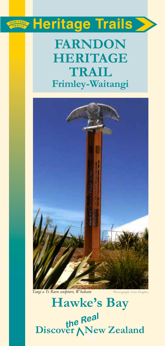## **S** Heritage Trails

## **FARNDON HERITAGE TRAIL Frimley-Waitangi**



## Discover *New Zealand* **Hawke's Bay**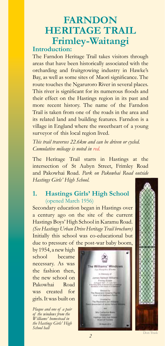### **FARNDON HERITAGE TRAIL Frimley-Waitangi Introduction:**

The Farndon Heritage Trail takes visitors through areas that have been historically associated with the orcharding and fruitgrowing industry in Hawke's Bay, as well as some sites of Maori significance. The route touches the Ngaruroro River in several places. This river is significant for its numerous floods and their effect on the Hastings region in its past and more recent history. The name of the Farndon Trail is taken from one of the roads in the area and its related land and building features. Farndon is a village in England where the sweetheart of a young surveyor of this local region lived.

*This trail traverses 22.6km and can be driven or cycled. Cumulative mileage is noted in red.*

The Heritage Trail starts in Hastings at the intersection of St Aubyn Street, Frimley Road and Pakowhai Road. *Park on Pakowhai Road outside Hastings Girls' High School.*

#### **1. Hastings Girls' High School**  (opened March 1956)

Secondary education began in Hastings over a century ago on the site of the current Hastings Boys' High School in Karamu Road. *(See Hastings Urban Drive Heritage Trail brochure)* Initially this school was co-educational but due to pressure of the post-war baby boom,

by 1954, a new high school became necessary. As was the fashion then, the new school on Pakowhai Road was created for girls. It was built on

*Plaque and one of a pair of the windows from the Williams' homestead in the Hastings Girls' High School hall*





Don Trask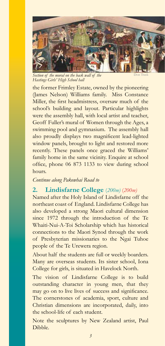

*Section of the mural on the back wall of the Hastings Girls' High School hall*

Don Trask

the former Frimley Estate, owned by the pioneering (James Nelson) Williams family. Miss Constance Miller, the first headmistress, oversaw much of the school's building and layout. Particular highlights were the assembly hall, with local artist and teacher, Geoff Fuller's mural of Women through the Ages, a swimming pool and gymnasium. The assembly hall also proudly displays two magnificent lead-lighted window panels, brought to light and restored more recently. These panels once graced the Williams' family home in the same vicinity. Enquire at school office, phone 06 873 1133 to view during school hours.

#### *Continue along Pakowhai Road to*

#### **2. Lindisfarne College** (*200m)* (*200m)*

Named after the Holy Island of Lindisfarne off the northeast coast of England. Lindisfarne College has also developed a strong Maori cultural dimension since 1972 through the introduction of the Te Whaiti-Nui-A-Toi Scholarship which has historical connections to the Maori Synod through the work of Presbyterian missionaries to the Ngai Tuhoe people of the Te Urewera region.

About half the students are full or weekly boarders. Many are overseas students. Its sister school, Iona College for girls, is situated in Havelock North.

The vision of Lindisfarne College is to build outstanding character in young men, that they may go on to live lives of success and significance. The cornerstones of academia, sport, culture and Christian dimensions are incorporated, daily, into the school-life of each student.

Note the sculptures by New Zealand artist, Paul Dibble.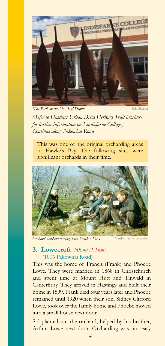

*'The Performance' by Paul Dibble*

Eila Shearer

*(Refer to Hastings Urban Drive Heritage Trail brochure for further information on Lindisfarne College.) Continue along Pakowhai Road*

This was one of the original orcharding areas in Hawke's Bay. The following sites were significant orchards in their time.



*Orchard workers having a tea break c.1961*

Mardon family collection

#### **3. Lowecroft** (*900m) (1.1km)* (1006 Pakowhai Road)

This was the home of Francis (Frank) and Phoebe Lowe. They were married in 1868 in Christchurch and spent time at Mount Hutt and Tinwald in Canterbury. They arrived in Hastings and built their home in 1899. Frank died four years later and Phoebe remained until 1920 when their son, Sidney Clifford Lowe, took over the family home and Phoebe moved into a small house next door.

Sid planted out the orchard, helped by his brother, Arthur Lowe next door. Orcharding was not easy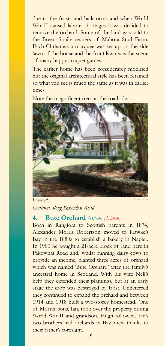due to the frosts and hailstorms and when World War II caused labour shortages it was decided to remove the orchard. Some of the land was sold to the Breen family owners of Mahora Stud Farm. Each Christmas a marquee was set up on the side lawn of the house and the front lawn was the scene of many happy croquet games.

The earlier home has been considerably modified but the original architectural style has been retained so what you see is much the same as it was in earlier times.

Note the magnificent trees at the roadside.



*Lowecroft*

*Continue along Pakowhai Road*

#### **4. Bute Orchard** *(100m) (1.2km)*

Born in Rangiora to Scottish parents in 1874, Alexander Morris Robertson moved to Hawke's Bay in the 1880s to establish a bakery in Napier. In 1900 he bought a 21-acre block of land here in Pakowhai Road and, whilst running dairy cows to provide an income, planted three acres of orchard which was named 'Bute Orchard' after the family's ancestral home in Scotland. With his wife Nell's help they extended their plantings, but at an early stage the crop was destroyed by frost. Undeterred they continued to expand the orchard and between 1914 and 1918 built a two-storey homestead. One of Morris' sons, Ian, took over the property during World War II and grandson, Hugh followed. Ian's two brothers had orchards in Bay View thanks to their father's foresight.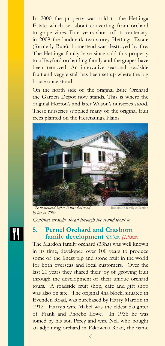In 2000 the property was sold to the Hettinga Estate which set about converting from orchard to grape vines. Four years short of its centenary, in 2009 the landmark two-storey Hettinga Estate (formerly Bute), homestead was destroyed by fire. The Hettinga family have since sold this property to a Twyford orcharding family and the grapes have been removed. An innovative seasonal roadside fruit and veggie stall has been set up where the big house once stood.

On the north side of the original Bute Orchard the Garden Depot now stands. This is where the original Horton's and later Wilson's nurseries stood. These nurseries supplied many of the original fruit trees planted on the Heretaunga Plains.



*The homestead before it was destroyed by fire in 2009* Robertson family collection

*Continue straight ahead through the roundabout to* 

## **5. Pernel Orchard and Crasborn family development** *(600m) (1.8km)*

The Mardon family orchard (33ha) was well known in its time, developed over 100 years to produce some of the finest pip and stone fruit in the world for both overseas and local customers. Over the last 20 years they shared their joy of growing fruit through the development of their unique orchard tours. A roadside fruit shop, cafe and gift shop was also on site. The original 4ha block, situated in Evenden Road, was purchased by Harry Mardon in 1912. Harry's wife Mabel was the eldest daughter of Frank and Phoebe Lowe. In 1936 he was joined by his son Percy and wife Nell who bought an adjoining orchard in Pakowhai Road, the name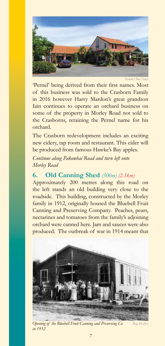

*Hawke's Bay Today*

'Pernel' being derived from their first names. Most of this business was sold to the Crasborn Family in 2016 however Harry Mardon's great grandson Iain continues to operate an orchard business on some of the property in Morley Road not sold to the Crasborns, retaining the Pernel name for his orchard.

The Crasborn redevelopment includes an exciting new cidery, tap room and restaurant. This cider will be produced from famous Hawke's Bay apples.

*Continue along Pakowhai Road and turn left onto Morley Road*

#### **6. Old Canning Shed** *(500m) (2.3km)*

Approximately 200 metres along this road on the left stands an old building very close to the roadside. This building, constructed by the Morley family in 1912, originally housed the Bluebell Fruit Canning and Preserving Company. Peaches, pears, nectarines and tomatoes from the family's adjoining orchard were canned here. Jam and sauces were also produced. The outbreak of war in 1914 meant that



*Opening of the Bluebell Fruit Canning and Preserving Co in 1912*

Reg Morley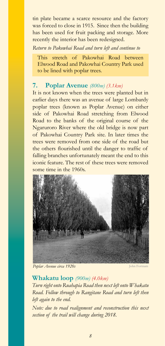tin plate became a scarce resource and the factory was forced to close in 1915. Since then the building has been used for fruit packing and storage. More recently the interior has been redesigned.

*Return to Pakowhai Road and turn left and continue to*

This stretch of Pakowhai Road between Elwood Road and Pakowhai Country Park used to be lined with poplar trees.

#### **7. Poplar Avenue** *(800m) (3.1km)*

It is not known when the trees were planted but in earlier days there was an avenue of large Lombardy poplar trees (known as Poplar Avenue) on either side of Pakowhai Road stretching from Elwood Road to the banks of the original course of the Ngaruroro River where the old bridge is now part of Pakowhai Country Park site. In later times the trees were removed from one side of the road but the others flourished until the danger to traffic of falling branches unfortunately meant the end to this iconic feature. The rest of these trees were removed some time in the 1960s.



*Poplar Avenue circa 1920s* John Fortnam

#### **Whakatu loop** *(900m) (4.0km)*

*Turn right onto Ruahapia Road then next left onto Whakatu Road. Follow through to Rangitane Road and turn left then left again to the end.* 

*Note: due to road realignment and reconstruction this next section of the trail will change during 2018.*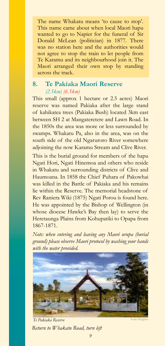The name Whakatu means 'to cause to stop'. This name came about when local Maori hapu wanted to go to Napier for the funeral of Sir Donald McLean (politician) in 1877. There was no station here and the authorities would not agree to stop the train to let people from Te Karamu and its neighbourhood join it. The Maori arranged their own stop by standing across the track.

#### **8. Te Pakiaka Maori Reserve**  *(2.5km) (6.5km)*

This small (approx 1 hectare or 2.5 acres) Maori reserve was named Pakiaka after the large stand of kahikatea trees (Pakiaka Bush) located 3km east between SH 2 at Mangateretere and Lawn Road. In the 1850s the area was more or less surrounded by swamps. Whakatu Pa, also in the area, was on the south side of the old Ngaruroro River somewhere adjoining the now Karamu Stream and Clive River.

This is the burial ground for members of the hapu Ngati Hori, Ngati Hinemoa and others who reside in Whakatu and surrounding districts of Clive and Haumoana. In 1858 the Chief Puhara of Pakowhai was killed in the Battle of Pakiaka and his remains lie within the Reserve. The memorial headstone of Rev Raniera Wiki (1875) Ngati Porou is found here. He was appointed by the Bishop of Wellington (in whose diocese Hawke's Bay then lay) to serve the Heretaunga Plains from Kohupatiki to Opapa from 1867-1871.

*Note: when entering and leaving any Maori urupa (burial ground) please observe Maori protocol by washing your hands with the water provided.* 



*Te Pakiaka Reserve Return to Whakatu Road, turn left* 

Ivan Hughes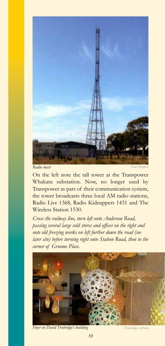

*Radio mast*

Ivan Hugh

On the left note the tall tower at the Transpower Whakatu substation. Now, no longer used by Transpower as part of their communication system, the tower broadcasts three local AM radio stations, Radio Live 1368, Radio Kidnappers 1431 and The Wireless Station 1530.

*Cross the railway line, turn left onto Anderson Road, passing several large cold stores and offices on the right and note old freezing works on left further down the road (see later site) before turning right onto Station Road, then to the corner of Groome Place.* 



*Foyer in David Trubridge's building*

Trubridge website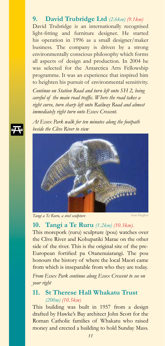#### **9. David Trubridge Ltd** *(2.6km) (9.1km)*

David Trubridge is an internationally recognised light-fitting and furniture designer. He started his operation in 1996 as a small designer/maker business. The company is driven by a strong environmentally conscious philosophy which forms all aspects of design and production. In 2004 he was selected for the Antarctica Arts Fellowship programme. It was an experience that inspired him to heighten his pursuit of environmental sensitivity.

*Continue on Station Road and turn left onto SH 2, being careful of the main road traffic. Where the road takes a right curve, turn sharp left onto Railway Road and almost immediately right turn onto Essex Crescent.*

*At Essex Park walk for ten minutes along the footpath beside the Clive River to view* 



*Tangi a Te Ruru, a steel sculpture*

Ivan Hughes

#### **10. Tangi a Te Ruru** *(1.2km) (10.3km).*

This morepork (ruru) sculpture (pou) watches over the Clive River and Kohupatiki Marae on the other side of the river. This is the original site of the pre-European fortified pa Otanenuiarangi. The pou honours the history of where the local Maori came from which is inseparable from who they are today.

*From Essex Park continue along Essex Crescent to see on your right*

#### **11. St Therese Hall Whakatu Trust**  *(200m) (10.5km)*

This building was built in 1957 from a design drafted by Hawke's Bay architect John Scott for the Roman Catholic families of Whakatu who raised money and erected a building to hold Sunday Mass.

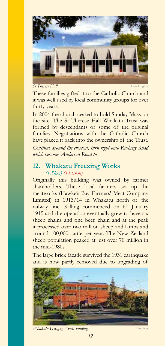

*St Therese Hall*

Ivan Hughes

These families gifted it to the Catholic Church and it was well used by local community groups for over thirty years.

In 2004 the church ceased to hold Sunday Mass on the site. The St Therese Hall Whakatu Trust was formed by descendants of some of the original families. Negotiations with the Catholic Church have placed it back into the ownership of the Trust.

*Continue around the crescent, turn right onto Railway Road which becomes Anderson Road to*

#### **12. Whakatu Freezing Works**  *(1.5km) (13.0km)*

Originally this building was owned by farmer shareholders. These local farmers set up the meatworks (Hawke's Bay Farmers' Meat Company Limited) in 1913/14 in Whakatu north of the railway line. Killing commenced on 6<sup>th</sup> January 1915 and the operation eventually grew to have six sheep chains and one beef chain and at the peak it processed over two million sheep and lambs and around 100,000 cattle per year. The New Zealand sheep population peaked at just over 70 million in the mid-1980s.

The large brick facade survived the 1931 earthquake and is now partly removed due to upgrading of



*Whakatu Freezing Works building*

Archive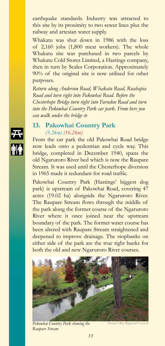earthquake standards. Industry was attracted to this site by its proximity to two sewer lines plus the railway and artesian water supply.

Whakatu was shut down in 1986 with the loss of 2,160 jobs (1,800 meat workers). The whole Whakatu site was purchased in two parcels by Whakatu Cold Stores Limited, a Hastings company, then in turn by Scales Corporation. Approximately 90% of the original site is now utilised for other purposes.

*Return along Anderson Road, Whakatu Road, Ruahapia Road and turn right into Pakowhai Road. Before the Chesterhope Bridge turn right into Farndon Road and turn into the Pakowhai Country Park car park. From here you can walk under the bridge to*

#### **13. Pakowhai Country Park**  *(3.2km) (16.2km)*

From the car park the old Pakowhai Road bridge now leads onto a pedestrian and cycle way. This bridge, completed in December 1940, spans the old Ngaruroro River bed which is now the Raupare Stream. It was used until the Chesterhope diversion in 1965 made it redundant for road traffic.

Pakowhai Country Park (Hastings' biggest dog park) is upstream of Pakowhai Road, covering 47 acres (19.02 ha) alongside the Ngaruroro River. The Raupare Stream flows through the middle of the park along the former course of the Ngaruroro River where it once joined near the upstream boundary of the park. The former water course has been altered with Raupare Stream straightened and deepened to improve drainage. The stopbanks on either side of the park are the true right banks for both the old and new Ngaruroro River courses.



*Pakowhai Country Park showing the Raupare Stream*

Hawke's Bay Regional Coun

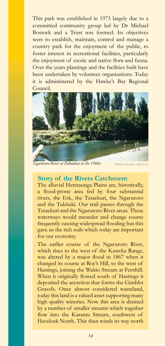This park was established in 1973 largely due to a committed community group led by Dr Michael Bostock and a Trust was formed. Its objectives were to establish, maintain, control and manage a country park for the enjoyment of the public, to foster interest in recreational facilities, particularly the enjoyment of exotic and native flora and fauna. Over the years plantings and the facilities built have been undertaken by volunteer organisations. Today it is administered by the Hawke's Bay Regional Council.



*Ngaruroro River at Pakowhai in the 1960s* Mardon family collection

#### **Story of the Rivers Catchment**

The alluvial Heretaunga Plains are, historically, a flood-prone area fed by four substantial rivers, the Esk, the Tutaekuri, the Ngaruroro and the Tukituki. Our trail passes through the Tutaekuri and the Ngaruroro River areas. These waterways would meander and change course frequently causing widespread flooding but this gave us the rich soils which today are important for our economy.

The earlier course of the Ngaruroro River, which rises to the west of the Kaweka Range, was altered by a major flood in 1867 when it changed its course at Roy's Hill, to the west of Hastings, joining the Waitio Stream at Fernhill. When it originally flowed south of Hastings it deposited the accretion that forms the Gimblet Gravels. Once almost considered wasteland, today this land is a valued asset supporting many high quality wineries. Now this area is drained by a number of smaller streams which together flow into the Karamu Stream, southwest of Havelock North. This then winds its way north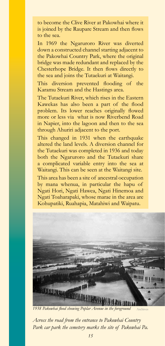to become the Clive River at Pakowhai where it is joined by the Raupare Stream and then flows to the sea.

In 1969 the Ngaruroro River was diverted down a constructed channel starting adjacent to the Pakowhai Country Park, where the original bridge was made redundant and replaced by the Chesterhope Bridge. It then flows directly to the sea and joins the Tutaekuri at Waitangi.

This diversion prevented flooding of the Karamu Stream and the Hastings area.

The Tutaekuri River, which rises in the Eastern Kawekas has also been a part of the flood problem. Its lower reaches originally flowed more or less via what is now Riverbend Road in Napier, into the lagoon and then to the sea through Ahuriri adjacent to the port.

This changed in 1931 when the earthquake altered the land levels. A diversion channel for the Tutaekuri was completed in 1936 and today both the Ngaruroro and the Tutaekuri share a complicated variable entry into the sea at Waitangi. This can be seen at the Waitangi site.

This area has been a site of ancestral occupation by mana whenua, in particular the hapu of Ngati Hori, Ngati Hawea, Ngati Hinemoa and Ngati Toaharapaki, whose marae in the area are Kohupatiki, Ruahapia, Matahiwi and Waipatu.



*1938 Pakowhai flood showing Poplar Avenue in the foreground* Archives

*Across the road from the entrance to Pakowhai Country Park car park the cemetery marks the site of Pakowhai Pa.*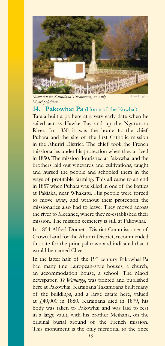

*Memorial for Karaitiana Takamoana, an early Maori politician*

#### **14. Pakowhai Pa** (Home of the Kowhai)

Taraia built a pa here at a very early date when he sailed across Hawke Bay and up the Ngaruroro River. In 1850 it was the home to the chief Puhara and the site of the first Catholic mission in the Ahuriri District. The chief took the French missionaries under his protection when they arrived in 1850. The mission flourished at Pakowhai and the brothers laid out vineyards and cultivations, taught and nursed the people and schooled them in the ways of profitable farming. This all came to an end in 1857 when Puhara was killed in one of the battles at Pakiaka, near Whakatu. His people were forced to move away, and without their protection the missionaries also had to leave. They moved across the river to Meeanee, where they re-established their mission. The mission cemetery is still at Pakowhai.

In 1854 Alfred Domett, District Commissioner of Crown Land for the Ahuriri District, recommended this site for the principal town and indicated that it would be named Clive.

In the latter half of the 19<sup>th</sup> century Pakowhai Pa had many fine European-style houses, a church, an accommodation house, a school. The Maori newspaper, *Te Wananga*, was printed and published here at Pakowhai. Karaitiana Takamoana built many of the buildings, and a large estate here, valued at £40,000 in 1880. Karaitiana died in 1879, his body was taken to Pakowhai and was laid to rest in a large vault, with his brother Meihana, on the original burial ground of the French mission. This monument is the only memorial to the once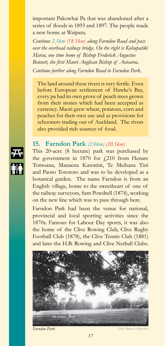important Pakowhai Pa that was abandoned after a series of floods in 1893 and 1897. The people made a new home at Waipatu.

*Continue 2.3km (18.5km) along Farndon Road and pass over the overhead railway bridge. On the right is Kohupatiki Marae, one time home of Bishop Frederick Augustus Bennett, the first Maori Anglican Bishop of Aotearoa. Continue further along Farndon Road to Farndon Park.*

The land around these rivers is very fertile. Even before European settlement of Hawke's Bay, every pa had its own grove of peach trees grown from their stones which had been accepted as currency. Maori grew wheat, potatoes, corn and peaches for their own use and as provisions for schooners trading out of Auckland. The rivers also provided rich sources of food.

# **ink**

#### **15. Farndon Park** *(2.0km) (20.5km)*

This 20-acre (8 hectare) park was purchased by the government in 1870 for  $\text{\emph{f}}210$  from Henare Tomoana, Manaena Kawatini, Te Meihana Tini and Paoro Torotoro and was to be developed as a botanical garden. The name Farndon is from an English village, home to the sweetheart of one of the railway surveyors, Sam Powdrell (1874), working on the new line which was to pass through here.

Farndon Park had been the venue for national, provincial and local sporting activities since the 1870s. Famous for Labour Day sports, it was also the home of the Clive Rowing Club, Clive Rugby Football Club (1878), the Clive Tennis Club (1881) and later the H.B. Rowing and Clive Netball Clubs.



**Farndon Park** Gary Baines collection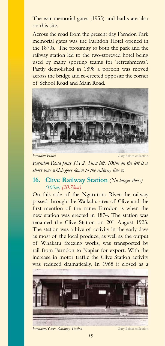The war memorial gates (1955) and baths are also on this site.

Across the road from the present day Farndon Park memorial gates was the Farndon Hotel opened in the 1870s. The proximity to both the park and the railway station led to the two-storeyed hotel being used by many sporting teams for 'refreshments'. Partly demolished in 1898 a portion was moved across the bridge and re-erected opposite the corner of School Road and Main Road.



*Farndon Hotel Farndon Road joins SH 2. Turn left. 100m on the left is a short lane which goes down to the railway line to* Gary Baines collection

#### **16. Clive Railway Station** (*No longer there) (100m) (20.7km)*

On this side of the Ngaruroro River the railway passed through the Waikahu area of Clive and the first mention of the name Farndon is when the new station was erected in 1874. The station was renamed the Clive Station on 20<sup>th</sup> August 1923. The station was a hive of activity in the early days as most of the local produce, as well as the output of Whakatu freezing works, was transported by rail from Farndon to Napier for export. With the increase in motor traffic the Clive Station activity was reduced dramatically. In 1968 it closed as a



*Farndon/Clive Railway Station*

Gary Baines collection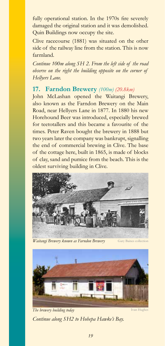fully operational station. In the 1970s fire severely damaged the original station and it was demolished. Quin Buildings now occupy the site.

Clive racecourse (1881) was situated on the other side of the railway line from the station. This is now farmland.

*Continue 100m along SH 2. From the left side of the road observe on the right the building opposite on the corner of Hellyers Lane.*

#### **17. Farndon Brewery** *(100m) (20.8km)*

John McLashan opened the Waitangi Brewery, also known as the Farndon Brewery on the Main Road, near Hellyers Lane in 1877. In 1880 his new Horehound Beer was introduced, especially brewed for teetotallers and this became a favourite of the times. Peter Raven bought the brewery in 1888 but two years later the company was bankrupt, signalling the end of commercial brewing in Clive. The base of the cottage here, built in 1865, is made of blocks of clay, sand and pumice from the beach. This is the oldest surviving building in Clive.



*Waitangi Brewery known as Farndon Brewery*

Gary Baines collection



*The brewery building today*

*Continue along SH2 to Hohepa Hawke's Bay.*

Ivan Hughes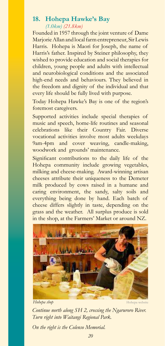#### **18. Hohepa Hawke's Bay**  *(1.0km) (21.8km)*

Founded in 1957 through the joint venture of Dame Marjorie Allan and local farm entrepreneur, Sir Lewis Harris. Hohepa is Maori for Joseph, the name of Harris's father. Inspired by Steiner philosophy, they wished to provide education and social therapies for children, young people and adults with intellectual and neurobiological conditions and the associated high-end needs and behaviours. They believed in the freedom and dignity of the individual and that every life should be fully lived with purpose.

Today Hohepa Hawke's Bay is one of the region's foremost caregivers.

Supported activities include special therapies of music and speech, home-life routines and seasonal celebrations like their Country Fair. Diverse vocational activities involve most adults weekdays 9am-4pm and cover weaving, candle-making, woodwork and grounds' maintenance.

Significant contributions to the daily life of the Hohepa community include growing vegetables, milking and cheese-making. Award-winning artisan cheeses attribute their uniqueness to the Demeter milk produced by cows raised in a humane and caring environment, the sandy, salty soils and everything being done by hand. Each batch of cheese differs slightly in taste, depending on the grass and the weather. All surplus produce is sold in the shop, at the Farmers' Market or around NZ.



*Hohepa shop*

Hohepa website

*Continue north along SH 2, crossing the Ngaruroro River. Turn right into Waitangi Regional Park.* 

*On the right is the Colenso Memorial.*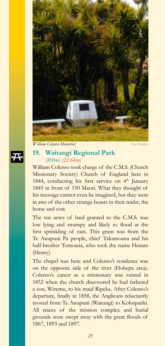

*William Colenso Memorial*

Ivan Hughes

#### **19. Waitangi Regional Park**  *(800m) (22.6km)*

William Colenso took charge of the C.M.S. (Church Missionary Society) Church of England here in 1844, conducting his first service on 4<sup>th</sup> January 1845 in front of 150 Maori. What they thought of his message cannot even be imagined, but they were in awe of the other strange beasts in their midst, the horse and cow.

The ten acres of land granted to the C.M.S. was low lying and swampy and likely to flood at the first sprinkling of rain. This grant was from the Te Awapuni Pa people, chief Takamoana and his half-brother Tomoana, who took the name Henare (Henry).

The chapel was here and Colenso's residence was on the opposite side of the river (Hohepa area). Colenso's career as a missionary was ruined in 1852 when the church discovered he had fathered a son, Wiremu, to his maid Ripeka. After Colenso's departure, finally in 1858, the Anglicans reluctantly moved from Te Awapuni (Waitangi) to Kohupatiki. All traces of the mission complex and burial grounds were swept away with the great floods of 1867, 1893 and 1897.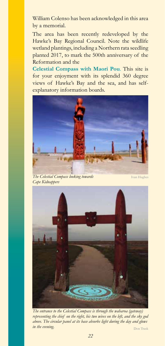William Colenso has been acknowledged in this area by a memorial.

The area has been recently redeveloped by the Hawke's Bay Regional Council. Note the wildlife wetland plantings, including a Northern rata seedling planted 2017, to mark the 500th anniversary of the Reformation and the

**Celestial Compass with Maori Pou**. This site is for your enjoyment with its splendid 360 degree views of Hawke's Bay and the sea, and has selfexplanatory information boards.



*The Celestial Compass looking towards Cape Kidnappers*

Ivan Hughes



*The entrance to the Celestial Compass is through the waharoa (gateway) representing the chief on the right, his two wives on the left, and the sky god above. The circular panel at its base absorbs light during the day and glows in the evening.* Don Trask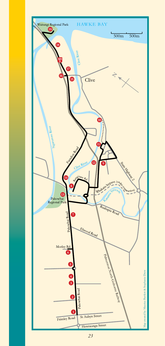